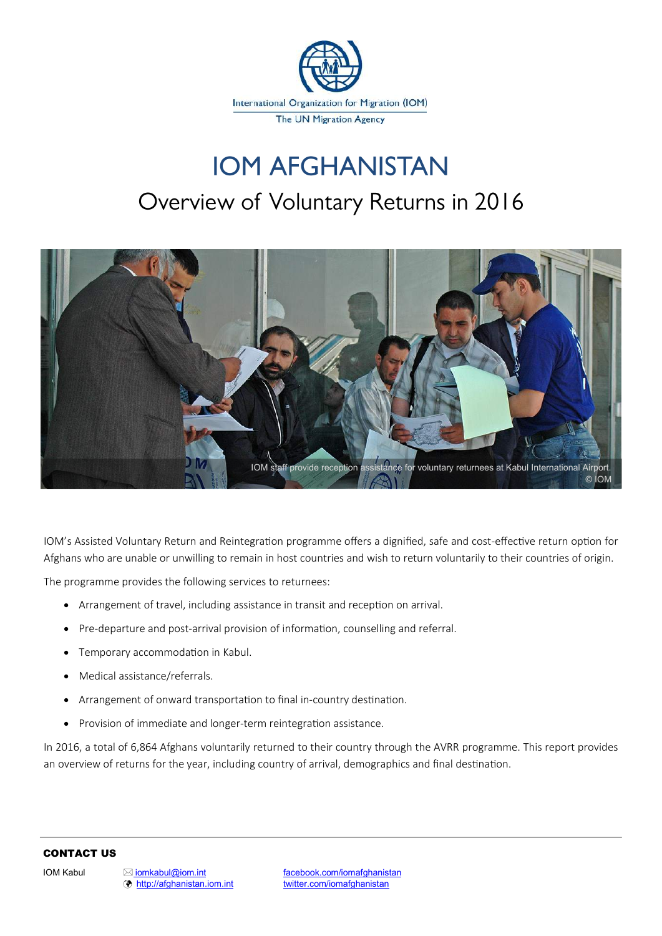

## **IOM AFGHANISTAN** Overview of Voluntary Returns in 2016



IOM's Assisted Voluntary Return and Reintegration programme offers a dignified, safe and cost-effective return option for Afghans who are unable or unwilling to remain in host countries and wish to return voluntarily to their countries of origin.

The programme provides the following services to returnees:

- Arrangement of travel, including assistance in transit and reception on arrival.
- Pre-departure and post-arrival provision of information, counselling and referral.
- Temporary accommodation in Kabul.
- Medical assistance/referrals.
- Arrangement of onward transportation to final in-country destination.
- Provision of immediate and longer-term reintegration assistance.

In 2016, a total of 6,864 Afghans voluntarily returned to their country through the AVRR programme. This report provides an overview of returns for the year, including country of arrival, demographics and final destination.

#### CONTACT US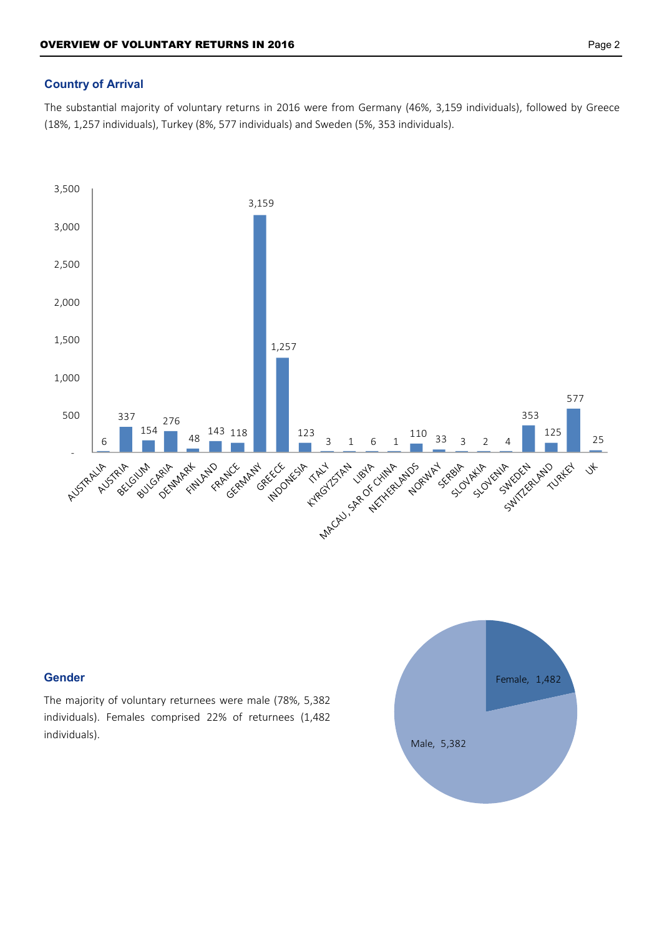### **Country of Arrival**

The substantial majority of voluntary returns in 2016 were from Germany (46%, 3,159 individuals), followed by Greece (18%, 1,257 individuals), Turkey (8%, 577 individuals) and Sweden (5%, 353 individuals).



#### **Gender**

The majority of voluntary returnees were male (78%, 5,382 individuals). Females comprised 22% of returnees (1,482 individuals).

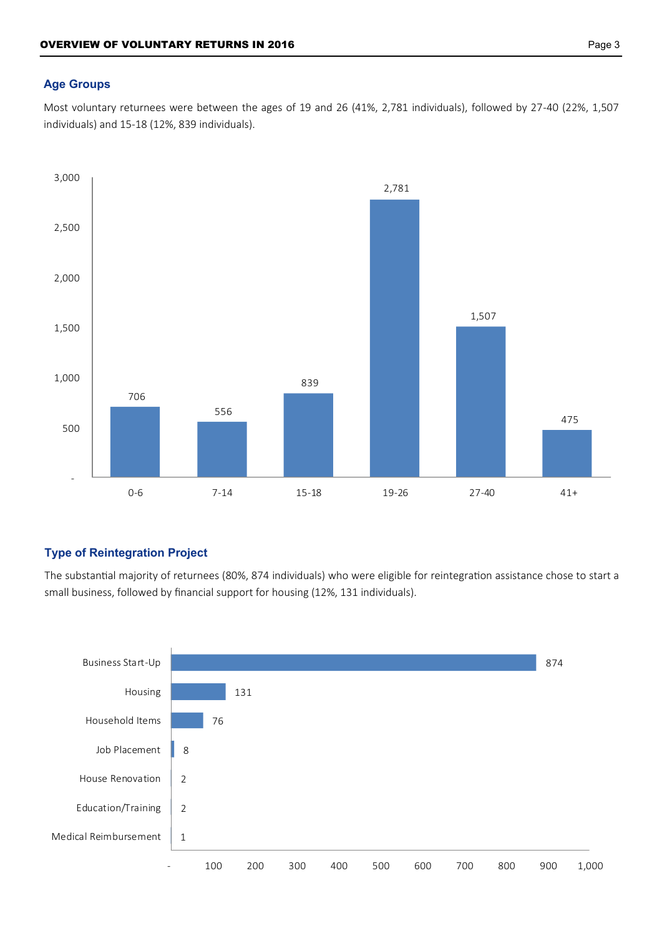#### **Age Groups**

Most voluntary returnees were between the ages of 19 and 26 (41%, 2,781 individuals), followed by 27-40 (22%, 1,507 individuals) and 15-18 (12%, 839 individuals).



#### **Type of Reintegration Project**

The substantial majority of returnees (80%, 874 individuals) who were eligible for reintegration assistance chose to start a small business, followed by financial support for housing (12%, 131 individuals).

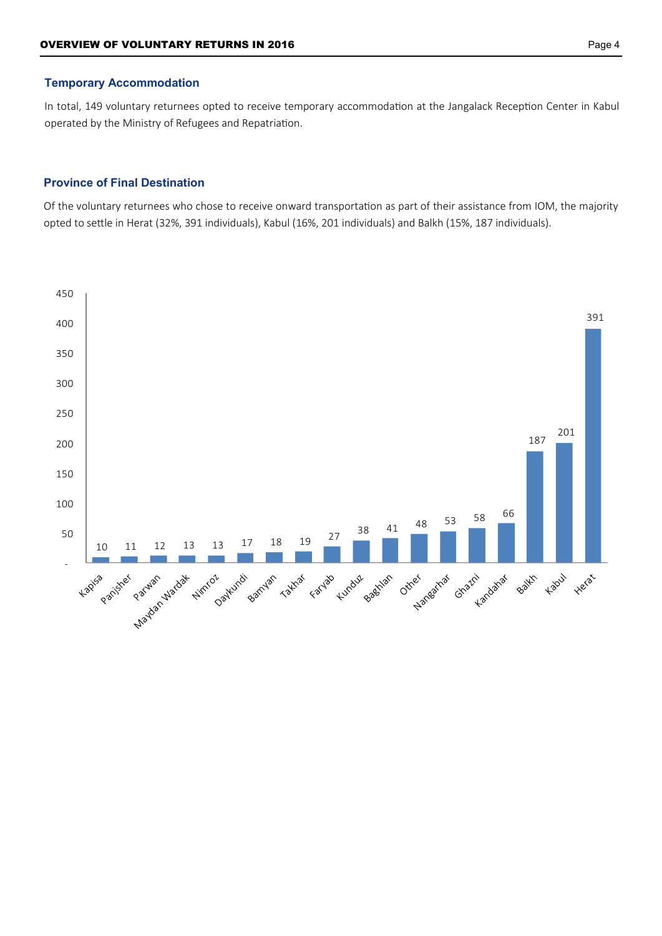#### **Temporary Accommodation**

In total, 149 voluntary returnees opted to receive temporary accommodation at the Jangalack Reception Center in Kabul operated by the Ministry of Refugees and Repatriation.

#### **Province of Final Destination**

Of the voluntary returnees who chose to receive onward transportation as part of their assistance from IOM, the majority opted to settle in Herat (32%, 391 individuals), Kabul (16%, 201 individuals) and Balkh (15%, 187 individuals).

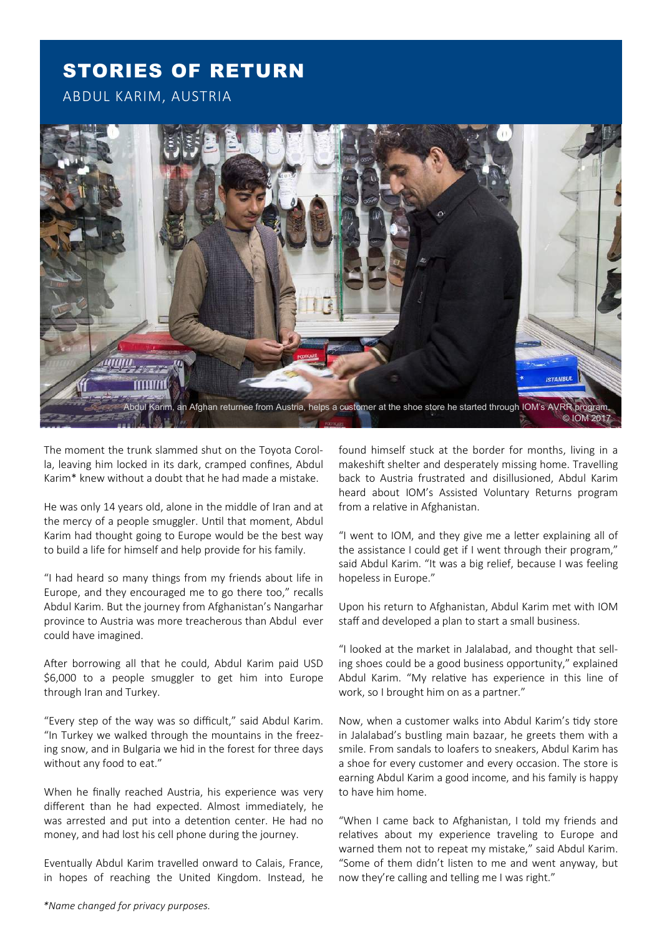### STORIES OF RETURN

ABDUL KARIM, AUSTRIA



The moment the trunk slammed shut on the Toyota Corolla, leaving him locked in its dark, cramped confines, Abdul Karim\* knew without a doubt that he had made a mistake.

He was only 14 years old, alone in the middle of Iran and at the mercy of a people smuggler. Until that moment, Abdul Karim had thought going to Europe would be the best way to build a life for himself and help provide for his family.

"I had heard so many things from my friends about life in Europe, and they encouraged me to go there too," recalls Abdul Karim. But the journey from Afghanistan's Nangarhar province to Austria was more treacherous than Abdul ever could have imagined.

After borrowing all that he could, Abdul Karim paid USD \$6,000 to a people smuggler to get him into Europe through Iran and Turkey.

"Every step of the way was so difficult," said Abdul Karim. "In Turkey we walked through the mountains in the freezing snow, and in Bulgaria we hid in the forest for three days without any food to eat."

When he finally reached Austria, his experience was very different than he had expected. Almost immediately, he was arrested and put into a detention center. He had no money, and had lost his cell phone during the journey.

Eventually Abdul Karim travelled onward to Calais, France, in hopes of reaching the United Kingdom. Instead, he found himself stuck at the border for months, living in a makeshift shelter and desperately missing home. Travelling back to Austria frustrated and disillusioned, Abdul Karim heard about IOM's Assisted Voluntary Returns program from a relative in Afghanistan.

"I went to IOM, and they give me a letter explaining all of the assistance I could get if I went through their program," said Abdul Karim. "It was a big relief, because I was feeling hopeless in Europe."

Upon his return to Afghanistan, Abdul Karim met with IOM staff and developed a plan to start a small business.

"I looked at the market in Jalalabad, and thought that selling shoes could be a good business opportunity," explained Abdul Karim. "My relative has experience in this line of work, so I brought him on as a partner."

Now, when a customer walks into Abdul Karim's tidy store in Jalalabad's bustling main bazaar, he greets them with a smile. From sandals to loafers to sneakers, Abdul Karim has a shoe for every customer and every occasion. The store is earning Abdul Karim a good income, and his family is happy to have him home.

"When I came back to Afghanistan, I told my friends and relatives about my experience traveling to Europe and warned them not to repeat my mistake," said Abdul Karim. "Some of them didn't listen to me and went anyway, but now they're calling and telling me I was right."